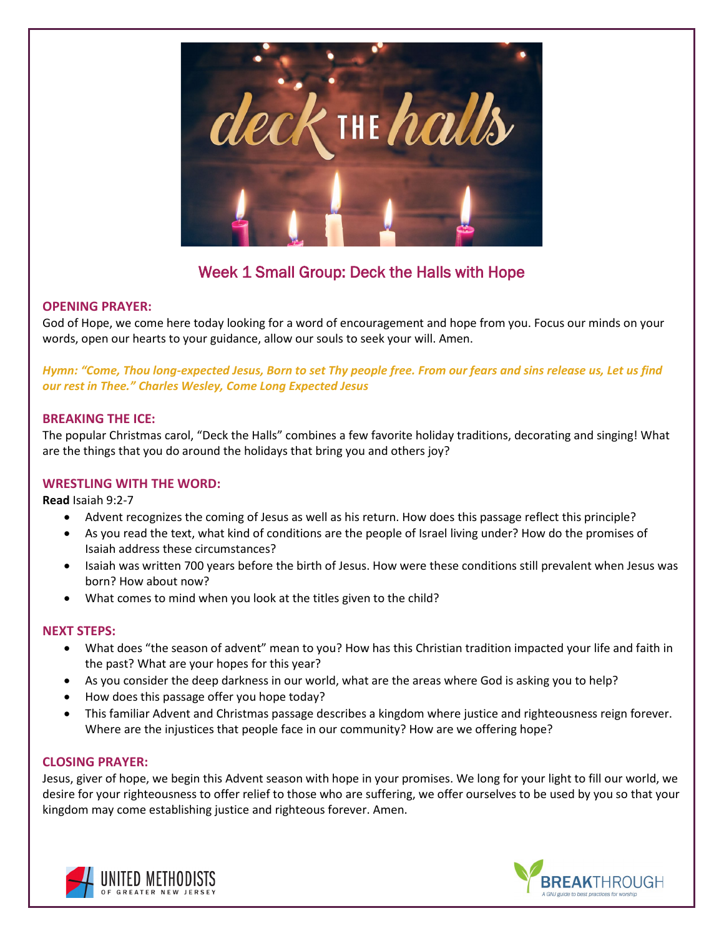

# Week 1 Small Group: Deck the Halls with Hope

## **OPENING PRAYER:**

God of Hope, we come here today looking for a word of encouragement and hope from you. Focus our minds on your words, open our hearts to your guidance, allow our souls to seek your will. Amen.

## *Hymn: "Come, Thou long-expected Jesus, Born to set Thy people free. From our fears and sins release us, Let us find our rest in Thee." Charles Wesley, Come Long Expected Jesus*

#### **BREAKING THE ICE:**

The popular Christmas carol, "Deck the Halls" combines a few favorite holiday traditions, decorating and singing! What are the things that you do around the holidays that bring you and others joy?

## **WRESTLING WITH THE WORD:**

**Read** Isaiah 9:2-7

- Advent recognizes the coming of Jesus as well as his return. How does this passage reflect this principle?
- As you read the text, what kind of conditions are the people of Israel living under? How do the promises of Isaiah address these circumstances?
- Isaiah was written 700 years before the birth of Jesus. How were these conditions still prevalent when Jesus was born? How about now?
- What comes to mind when you look at the titles given to the child?

#### **NEXT STEPS:**

- What does "the season of advent" mean to you? How has this Christian tradition impacted your life and faith in the past? What are your hopes for this year?
- As you consider the deep darkness in our world, what are the areas where God is asking you to help?
- How does this passage offer you hope today?
- This familiar Advent and Christmas passage describes a kingdom where justice and righteousness reign forever. Where are the injustices that people face in our community? How are we offering hope?

#### **CLOSING PRAYER:**

Jesus, giver of hope, we begin this Advent season with hope in your promises. We long for your light to fill our world, we desire for your righteousness to offer relief to those who are suffering, we offer ourselves to be used by you so that your kingdom may come establishing justice and righteous forever. Amen.



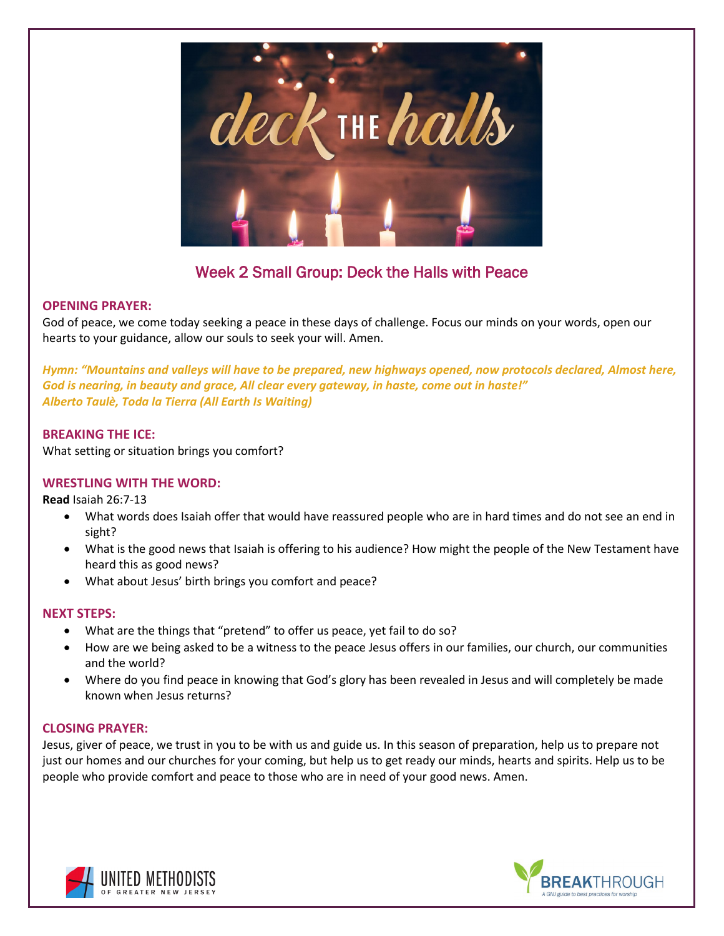

## Week 2 Small Group: Deck the Halls with Peace

## **OPENING PRAYER:**

God of peace, we come today seeking a peace in these days of challenge. Focus our minds on your words, open our hearts to your guidance, allow our souls to seek your will. Amen.

*Hymn: "Mountains and valleys will have to be prepared, new highways opened, now protocols declared, Almost here, God is nearing, in beauty and grace, All clear every gateway, in haste, come out in haste!" Alberto Taulè, Toda la Tierra (All Earth Is Waiting)*

## **BREAKING THE ICE:**

What setting or situation brings you comfort?

## **WRESTLING WITH THE WORD:**

**Read** Isaiah 26:7-13

- What words does Isaiah offer that would have reassured people who are in hard times and do not see an end in sight?
- What is the good news that Isaiah is offering to his audience? How might the people of the New Testament have heard this as good news?
- What about Jesus' birth brings you comfort and peace?

## **NEXT STEPS:**

- What are the things that "pretend" to offer us peace, yet fail to do so?
- How are we being asked to be a witness to the peace Jesus offers in our families, our church, our communities and the world?
- Where do you find peace in knowing that God's glory has been revealed in Jesus and will completely be made known when Jesus returns?

## **CLOSING PRAYER:**

Jesus, giver of peace, we trust in you to be with us and guide us. In this season of preparation, help us to prepare not just our homes and our churches for your coming, but help us to get ready our minds, hearts and spirits. Help us to be people who provide comfort and peace to those who are in need of your good news. Amen.



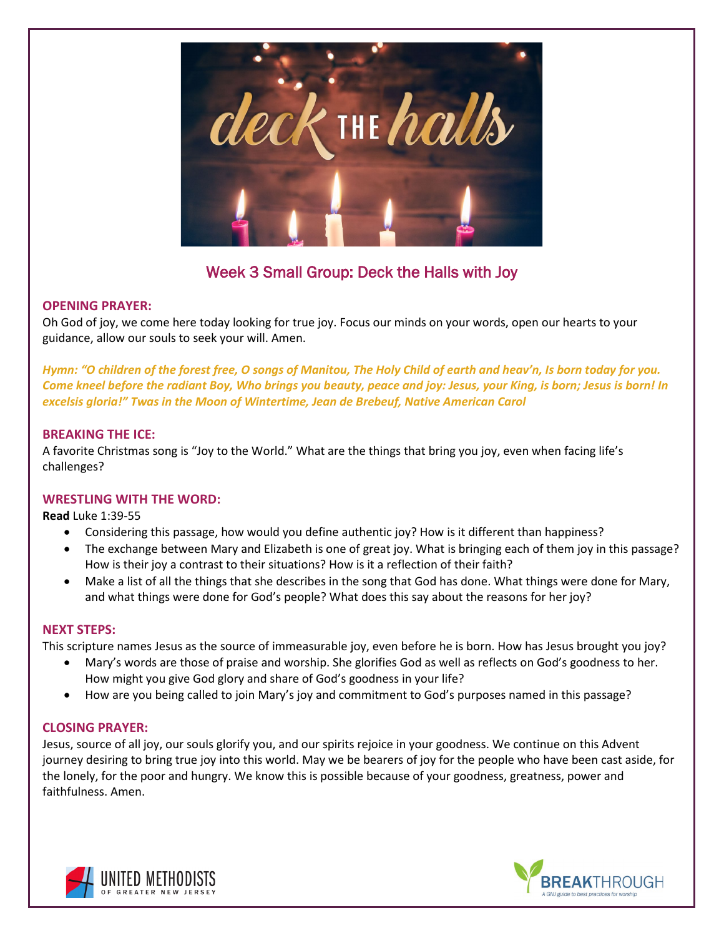

# Week 3 Small Group: Deck the Halls with Joy

## **OPENING PRAYER:**

Oh God of joy, we come here today looking for true joy. Focus our minds on your words, open our hearts to your guidance, allow our souls to seek your will. Amen.

*Hymn: "O children of the forest free, O songs of Manitou, The Holy Child of earth and heav'n, Is born today for you. Come kneel before the radiant Boy, Who brings you beauty, peace and joy: Jesus, your King, is born; Jesus is born! In excelsis gloria!" Twas in the Moon of Wintertime, Jean de Brebeuf, Native American Carol*

## **BREAKING THE ICE:**

A favorite Christmas song is "Joy to the World." What are the things that bring you joy, even when facing life's challenges?

## **WRESTLING WITH THE WORD:**

**Read** Luke 1:39-55

- Considering this passage, how would you define authentic joy? How is it different than happiness?
- The exchange between Mary and Elizabeth is one of great joy. What is bringing each of them joy in this passage? How is their joy a contrast to their situations? How is it a reflection of their faith?
- Make a list of all the things that she describes in the song that God has done. What things were done for Mary, and what things were done for God's people? What does this say about the reasons for her joy?

## **NEXT STEPS:**

This scripture names Jesus as the source of immeasurable joy, even before he is born. How has Jesus brought you joy?

- Mary's words are those of praise and worship. She glorifies God as well as reflects on God's goodness to her. How might you give God glory and share of God's goodness in your life?
- How are you being called to join Mary's joy and commitment to God's purposes named in this passage?

## **CLOSING PRAYER:**

Jesus, source of all joy, our souls glorify you, and our spirits rejoice in your goodness. We continue on this Advent journey desiring to bring true joy into this world. May we be bearers of joy for the people who have been cast aside, for the lonely, for the poor and hungry. We know this is possible because of your goodness, greatness, power and faithfulness. Amen.



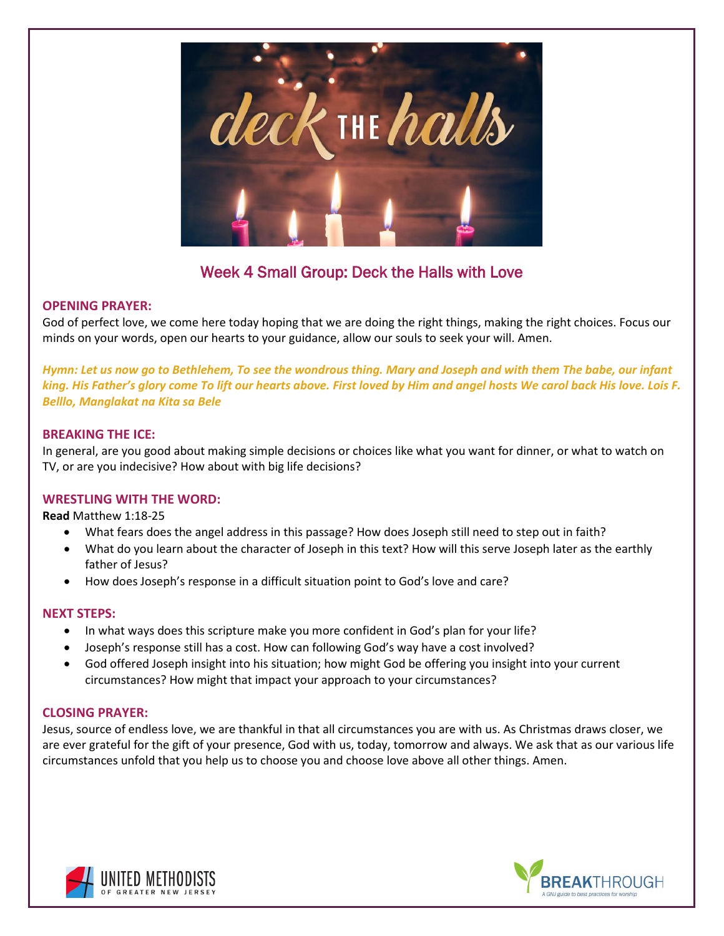

# Week 4 Small Group: Deck the Halls with Love

## **OPENING PRAYER:**

God of perfect love, we come here today hoping that we are doing the right things, making the right choices. Focus our minds on your words, open our hearts to your guidance, allow our souls to seek your will. Amen.

*Hymn: Let us now go to Bethlehem, To see the wondrous thing. Mary and Joseph and with them The babe, our infant king. His Father's glory come To lift our hearts above. First loved by Him and angel hosts We carol back His love. Lois F. Belllo, Manglakat na Kita sa Bele*

#### **BREAKING THE ICE:**

In general, are you good about making simple decisions or choices like what you want for dinner, or what to watch on TV, or are you indecisive? How about with big life decisions?

#### **WRESTLING WITH THE WORD:**

**Read** Matthew 1:18-25

- What fears does the angel address in this passage? How does Joseph still need to step out in faith?
- What do you learn about the character of Joseph in this text? How will this serve Joseph later as the earthly father of Jesus?
- How does Joseph's response in a difficult situation point to God's love and care?

#### **NEXT STEPS:**

- In what ways does this scripture make you more confident in God's plan for your life?
- Joseph's response still has a cost. How can following God's way have a cost involved?
- God offered Joseph insight into his situation; how might God be offering you insight into your current circumstances? How might that impact your approach to your circumstances?

## **CLOSING PRAYER:**

Jesus, source of endless love, we are thankful in that all circumstances you are with us. As Christmas draws closer, we are ever grateful for the gift of your presence, God with us, today, tomorrow and always. We ask that as our various life circumstances unfold that you help us to choose you and choose love above all other things. Amen.